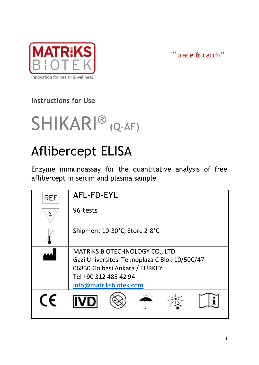

''trace & catch''

# **Instructions for Use**



# Aflibercept ELISA

Enzyme immunoassay for the quantitative analysis of free aflibercept in serum and plasma sample

| <b>REF</b> | AFL-FD-EYL                                                                                                                                                           |  |  |
|------------|----------------------------------------------------------------------------------------------------------------------------------------------------------------------|--|--|
|            | 96 tests                                                                                                                                                             |  |  |
|            | Shipment 10-30°C, Store 2-8°C                                                                                                                                        |  |  |
|            | MATRIKS BIOTECHNOLOGY CO., LTD.<br>Gazi Universitesi Teknoplaza C Blok 10/50C/47<br>06830 Golbasi Ankara / TURKEY<br>Tel +90 312 485 42 94<br>info@matriksbiotek.com |  |  |
| CF         |                                                                                                                                                                      |  |  |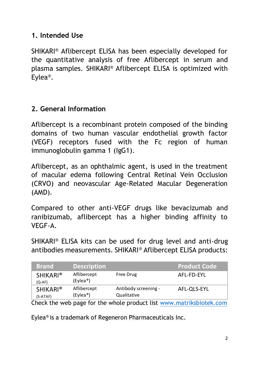#### **1. Intended Use**

SHIKARI® Aflibercept ELISA has been especially developed for the quantitative analysis of free Aflibercept in serum and plasma samples. SHIKARI® Aflibercept ELISA is optimized with Eylea®.

#### **2. General Information**

Aflibercept is a recombinant protein composed of the binding domains of two human vascular endothelial growth factor (VEGF) receptors fused with the Fc region of human immunoglobulin gamma 1 (IgG1).

Aflibercept, as an ophthalmic agent, is used in the treatment of macular edema following Central Retinal Vein Occlusion (CRVO) and neovascular Age-Related Macular Degeneration (AMD).

Compared to other anti-VEGF drugs like bevacizumab and ranibizumab, aflibercept has a higher binding affinity to VEGF-A.

SHIKARI® ELISA kits can be used for drug level and anti-drug antibodies measurements. SHIKARI® Aflibercept ELISA products:

| <b>Brand</b>                | <b>Description</b>                   |                                     | <b>Product Code</b> |
|-----------------------------|--------------------------------------|-------------------------------------|---------------------|
| <b>SHIKARI®</b><br>$(O-AF)$ | Aflibercept<br>(Eylea <sup>®</sup> ) | Free Drug                           | AFL-FD-EYL          |
| <b>SHIKARI®</b><br>(S-ATAF) | Aflibercept<br>(Evlea <sup>®</sup> ) | Antibody screening -<br>Qualitative | AFL-OLS-EYL         |
| ----                        | $\sim$ $\sim$                        | .                                   | .                   |

Check the web page for the whole product list [www.matriksbiotek.com](file:///C:/Users/Matrix/Documents/www.matriksbiotek.com)

Eylea® is a trademark of Regeneron Pharmaceuticals Inc.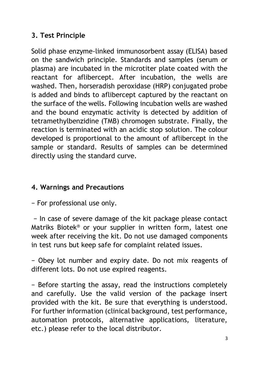# **3. Test Principle**

Solid phase enzyme-linked immunosorbent assay (ELISA) based on the sandwich principle. Standards and samples (serum or plasma) are incubated in the microtiter plate coated with the reactant for aflibercept. After incubation, the wells are washed. Then, horseradish peroxidase (HRP) conjugated probe is added and binds to aflibercept captured by the reactant on the surface of the wells. Following incubation wells are washed and the bound enzymatic activity is detected by addition of tetramethylbenzidine (TMB) chromogen substrate. Finally, the reaction is terminated with an acidic stop solution. The colour developed is proportional to the amount of aflibercept in the sample or standard. Results of samples can be determined directly using the standard curve.

# **4. Warnings and Precautions**

− For professional use only.

− In case of severe damage of the kit package please contact Matriks Biotek® or your supplier in written form, latest one week after receiving the kit. Do not use damaged components in test runs but keep safe for complaint related issues.

− Obey lot number and expiry date. Do not mix reagents of different lots. Do not use expired reagents.

− Before starting the assay, read the instructions completely and carefully. Use the valid version of the package insert provided with the kit. Be sure that everything is understood. For further information (clinical background, test performance, automation protocols, alternative applications, literature, etc.) please refer to the local distributor.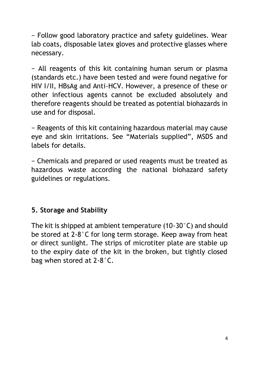− Follow good laboratory practice and safety guidelines. Wear lab coats, disposable latex gloves and protective glasses where necessary.

− All reagents of this kit containing human serum or plasma (standards etc.) have been tested and were found negative for HIV I/II, HBsAg and Anti-HCV. However, a presence of these or other infectious agents cannot be excluded absolutely and therefore reagents should be treated as potential biohazards in use and for disposal.

− Reagents of this kit containing hazardous material may cause eye and skin irritations. See "Materials supplied", MSDS and labels for details.

− Chemicals and prepared or used reagents must be treated as hazardous waste according the national biohazard safety guidelines or regulations.

#### **5. Storage and Stability**

The kit is shipped at ambient temperature (10-30°C) and should be stored at 2-8°C for long term storage. Keep away from heat or direct sunlight. The strips of microtiter plate are stable up to the expiry date of the kit in the broken, but tightly closed bag when stored at 2-8°C.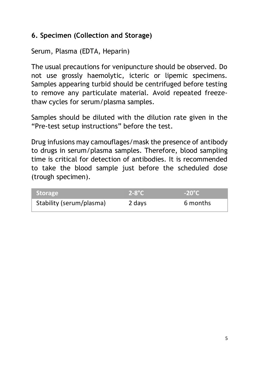# **6. Specimen (Collection and Storage)**

Serum, Plasma (EDTA, Heparin)

The usual precautions for venipuncture should be observed. Do not use grossly haemolytic, icteric or lipemic specimens. Samples appearing turbid should be centrifuged before testing to remove any particulate material. Avoid repeated freezethaw cycles for serum/plasma samples.

Samples should be diluted with the dilution rate given in the "Pre-test setup instructions" before the test.

Drug infusions may camouflages/mask the presence of antibody to drugs in serum/plasma samples. Therefore, blood sampling time is critical for detection of antibodies. It is recommended to take the blood sample just before the scheduled dose (trough specimen).

| <b>Storage</b>           | $2-8$ °C | $-20^{\circ}$ C |
|--------------------------|----------|-----------------|
| Stability (serum/plasma) | 2 days   | 6 months        |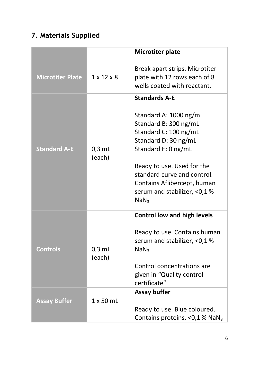# **7. Materials Supplied**

|                         |                        | Microtiter plate                                                                                                                                     |
|-------------------------|------------------------|------------------------------------------------------------------------------------------------------------------------------------------------------|
| <b>Microtiter Plate</b> | $1 \times 12 \times 8$ | Break apart strips. Microtiter<br>plate with 12 rows each of 8<br>wells coated with reactant.                                                        |
|                         |                        | <b>Standards A-F</b><br>Standard A: 1000 ng/mL<br>Standard B: 300 ng/mL                                                                              |
| <b>Standard A-E</b>     | $0.3$ mL<br>(each)     | Standard C: 100 ng/mL<br>Standard D: 30 ng/mL<br>Standard E: 0 ng/mL                                                                                 |
|                         |                        | Ready to use. Used for the<br>standard curve and control.<br>Contains Aflibercept, human<br>serum and stabilizer, <0,1%<br>NaN <sub>3</sub>          |
| <b>Controls</b>         | $0.3$ mL<br>(each)     | <b>Control low and high levels</b><br>Ready to use. Contains human<br>serum and stabilizer, <0,1 %<br>NaN <sub>3</sub><br>Control concentrations are |
|                         |                        | given in "Quality control<br>certificate"                                                                                                            |
| <b>Assay Buffer</b>     | $1 \times 50$ mL       | Assay buffer<br>Ready to use. Blue coloured.<br>Contains proteins, <0,1 % NaN <sub>3</sub>                                                           |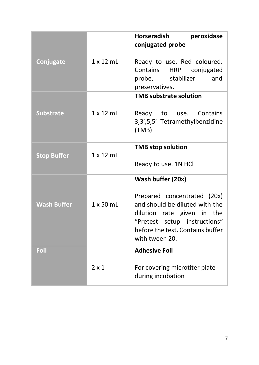|                    |                  | Horseradish<br>peroxidase                                                                                                                                                         |
|--------------------|------------------|-----------------------------------------------------------------------------------------------------------------------------------------------------------------------------------|
|                    |                  | conjugated probe                                                                                                                                                                  |
| Conjugate          | $1 \times 12$ mL | Ready to use. Red coloured.<br>Contains<br>HRP conjugated<br>probe, stabilizer<br>and<br>preservatives.                                                                           |
|                    |                  | <b>TMB substrate solution</b>                                                                                                                                                     |
| <b>Substrate</b>   | $1 \times 12$ ml | Contains<br>Ready<br>to<br>use.<br>3,3',5,5'-Tetramethylbenzidine<br>(TMB)                                                                                                        |
| <b>Stop Buffer</b> | $1 \times 12$ ml | <b>TMB</b> stop solution                                                                                                                                                          |
|                    |                  | Ready to use. 1N HCl                                                                                                                                                              |
|                    |                  | Wash buffer (20x)                                                                                                                                                                 |
| <b>Wash Buffer</b> | 1 x 50 mL        | Prepared concentrated (20x)<br>and should be diluted with the<br>dilution rate given in the<br>"Pretest setup instructions"<br>before the test. Contains buffer<br>with tween 20. |
| Foil               |                  | <b>Adhesive Foil</b>                                                                                                                                                              |
|                    | $2 \times 1$     | For covering microtiter plate<br>during incubation                                                                                                                                |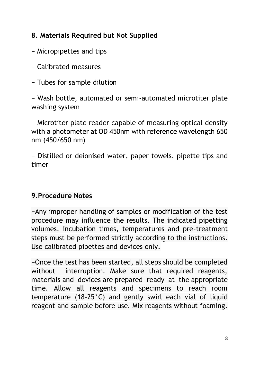# **8. Materials Required but Not Supplied**

- − Micropipettes and tips
- − Calibrated measures
- − Tubes for sample dilution

− Wash bottle, automated or semi-automated microtiter plate washing system

− Microtiter plate reader capable of measuring optical density with a photometer at OD 450nm with reference wavelength 650 nm (450/650 nm)

− Distilled or deionised water, paper towels, pipette tips and timer

# **9.Procedure Notes**

−Any improper handling of samples or modification of the test procedure may influence the results. The indicated pipetting volumes, incubation times, temperatures and pre-treatment steps must be performed strictly according to the instructions. Use calibrated pipettes and devices only.

−Once the test has been started, all steps should be completed without interruption. Make sure that required reagents, materials and devices are prepared ready at the appropriate time. Allow all reagents and specimens to reach room temperature (18-25°C) and gently swirl each vial of liquid reagent and sample before use. Mix reagents without foaming.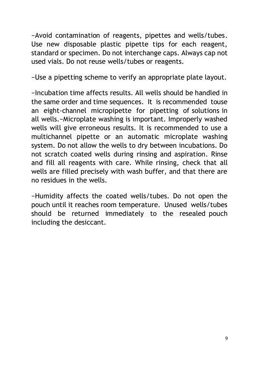−Avoid contamination of reagents, pipettes and wells/tubes. Use new disposable plastic pipette tips for each reagent, standard or specimen. Do not interchange caps. Always cap not used vials. Do not reuse wells/tubes or reagents.

−Use a pipetting scheme to verify an appropriate plate layout.

−Incubation time affects results. All wells should be handled in the same order and time sequences. It is recommended touse an eight-channel micropipette for pipetting of solutions in all wells.−Microplate washing is important. Improperly washed wells will give erroneous results. It is recommended to use a multichannel pipette or an automatic microplate washing system. Do not allow the wells to dry between incubations. Do not scratch coated wells during rinsing and aspiration. Rinse and fill all reagents with care. While rinsing, check that all wells are filled precisely with wash buffer, and that there are no residues in the wells.

−Humidity affects the coated wells/tubes. Do not open the pouch until it reaches room temperature. Unused wells/tubes should be returned immediately to the resealed pouch including the desiccant.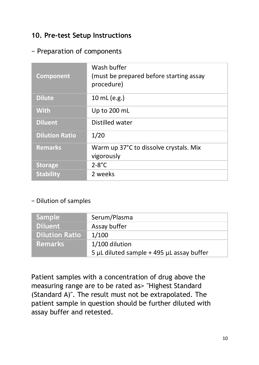#### **10. Pre-test Setup Instructions**

#### − Preparation of components

| Component             | Wash buffer<br>(must be prepared before starting assay<br>procedure) |
|-----------------------|----------------------------------------------------------------------|
| <b>Dilute</b>         | 10 mL (e.g.)                                                         |
| <b>With</b>           | Up to 200 mL                                                         |
| <b>Diluent</b>        | Distilled water                                                      |
| <b>Dilution Ratio</b> | 1/20                                                                 |
| <b>Remarks</b>        | Warm up 37°C to dissolve crystals. Mix                               |
|                       | vigorously                                                           |
| <b>Storage</b>        | $2-8$ °C                                                             |
| <b>Stability</b>      | 2 weeks                                                              |

#### − Dilution of samples

| Sample '              | Serum/Plasma                              |
|-----------------------|-------------------------------------------|
| <b>Diluent</b>        | Assay buffer                              |
| <b>Dilution Ratio</b> | 1/100                                     |
| <b>Remarks</b>        | 1/100 dilution                            |
|                       | 5 µL diluted sample + 495 µL assay buffer |

Patient samples with a concentration of drug above the measuring range are to be rated as> "Highest Standard (Standard A)". The result must not be extrapolated. The patient sample in question should be further diluted with assay buffer and retested.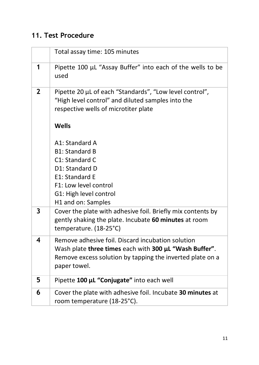# **11. Test Procedure**

|              | Total assay time: 105 minutes                                                                                                                        |
|--------------|------------------------------------------------------------------------------------------------------------------------------------------------------|
| 1            | Pipette 100 µL "Assay Buffer" into each of the wells to be<br>used                                                                                   |
| $\mathbf{2}$ | Pipette 20 µL of each "Standards", "Low level control",<br>"High level control" and diluted samples into the<br>respective wells of microtiter plate |
|              | Wells                                                                                                                                                |
|              | A1: Standard A                                                                                                                                       |
|              | <b>B1: Standard B</b>                                                                                                                                |
|              | C1: Standard C                                                                                                                                       |
|              | D1: Standard D                                                                                                                                       |
|              | E1: Standard E                                                                                                                                       |
|              | F1: Low level control                                                                                                                                |
|              | G1: High level control                                                                                                                               |
|              | H1 and on: Samples                                                                                                                                   |
| 3            | Cover the plate with adhesive foil. Briefly mix contents by<br>gently shaking the plate. Incubate 60 minutes at room<br>temperature. (18-25°C)       |
| 4            | Remove adhesive foil. Discard incubation solution                                                                                                    |
|              | Wash plate three times each with 300 µL "Wash Buffer".                                                                                               |
|              | Remove excess solution by tapping the inverted plate on a                                                                                            |
|              | paper towel.                                                                                                                                         |
| 5            | Pipette 100 µL "Conjugate" into each well                                                                                                            |
| 6            | Cover the plate with adhesive foil. Incubate 30 minutes at                                                                                           |
|              | room temperature (18-25°C).                                                                                                                          |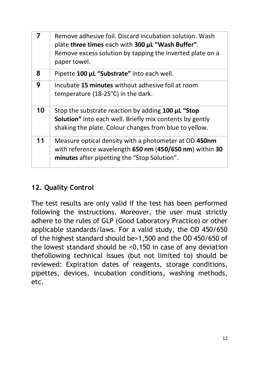| 7  | Remove adhesive foil. Discard incubation solution. Wash<br>plate three times each with 300 µL "Wash Buffer".<br>Remove excess solution by tapping the inverted plate on a<br>paper towel. |
|----|-------------------------------------------------------------------------------------------------------------------------------------------------------------------------------------------|
| 8  | Pipette 100 µL "Substrate" into each well.                                                                                                                                                |
| 9  | Incubate 15 minutes without adhesive foil at room<br>temperature (18-25°C) in the dark.                                                                                                   |
| 10 | Stop the substrate reaction by adding 100 µL "Stop<br><b>Solution"</b> into each well. Briefly mix contents by gently<br>shaking the plate. Colour changes from blue to yellow.           |
| 11 | Measure optical density with a photometer at OD 450nm<br>with reference wavelength 650 nm (450/650 nm) within 30<br>minutes after pipetting the "Stop Solution".                          |

# **12. Quality Control**

The test results are only valid if the test has been performed following the instructions. Moreover, the user must strictly adhere to the rules of GLP (Good Laboratory Practice) or other applicable standards/laws. For a valid study, the OD 450/650 of the highest standard should be>1,500 and the OD 450/650 of the lowest standard should be <0,150 in case of any deviation thefollowing technical issues (but not limited to) should be reviewed: Expiration dates of reagents, storage conditions, pipettes, devices, incubation conditions, washing methods, etc.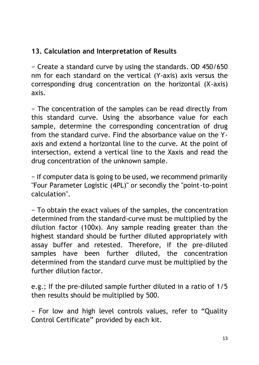# **13. Calculation and Interpretation of Results**

− Create a standard curve by using the standards. OD 450/650 nm for each standard on the vertical (Y-axis) axis versus the corresponding drug concentration on the horizontal (X-axis) axis.

− The concentration of the samples can be read directly from this standard curve. Using the absorbance value for each sample, determine the corresponding concentration of drug from the standard curve. Find the absorbance value on the Yaxis and extend a horizontal line to the curve. At the point of intersection, extend a vertical line to the Xaxis and read the drug concentration of the unknown sample.

− If computer data is going to be used, we recommend primarily "Four Parameter Logistic (4PL)" or secondly the "point-to-point calculation".

− To obtain the exact values of the samples, the concentration determined from the standard-curve must be multiplied by the dilution factor (100x). Any sample reading greater than the highest standard should be further diluted appropriately with assay buffer and retested. Therefore, if the pre-diluted samples have been further diluted, the concentration determined from the standard curve must be multiplied by the further dilution factor.

e.g.; If the pre-diluted sample further diluted in a ratio of 1/5 then results should be multiplied by 500.

− For low and high level controls values, refer to "Quality Control Certificate" provided by each kit.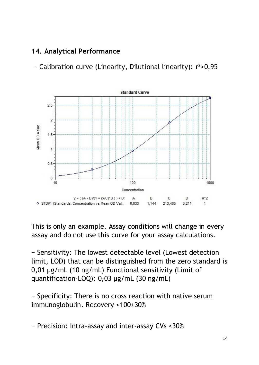# **14. Analytical Performance**

− Calibration curve (Linearity, Dilutional linearity): r <sup>2</sup>>0,95



This is only an example. Assay conditions will change in every assay and do not use this curve for your assay calculations.

− Sensitivity: The lowest detectable level (Lowest detection limit, LOD) that can be distinguished from the zero standard is 0,01 µg/mL (10 ng/mL) Functional sensitivity (Limit of quantification-LOQ): 0,03 µg/mL (30 ng/mL)

− Specificity: There is no cross reaction with native serum immunoglobulin. Recovery <100±30%

− Precision: Intra-assay and inter-assay CVs <30%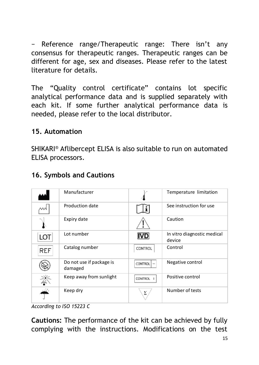− Reference range/Therapeutic range: There isn't any consensus for therapeutic ranges. Therapeutic ranges can be different for age, sex and diseases. Please refer to the latest literature for details.

The "Quality control certificate" contains lot specific analytical performance data and is supplied separately with each kit. If some further analytical performance data is needed, please refer to the local distributor.

#### **15. Automation**

SHIKARI® Aflibercept ELISA is also suitable to run on automated ELISA processors.

|     | Manufacturer                        |                | Temperature limitation                |
|-----|-------------------------------------|----------------|---------------------------------------|
|     | Production date                     |                | See instruction for use               |
|     | Expiry date                         |                | Caution                               |
| LOT | Lot number                          | <b>IVD</b>     | In vitro diagnostic medical<br>device |
| REF | Catalog number                      | CONTROL        | Control                               |
|     | Do not use if package is<br>damaged | <b>CONTROL</b> | Negative control                      |
|     | Keep away from sunlight             | <b>CONTROL</b> | Positive control                      |
|     | Keep dry                            | Σ              | Number of tests                       |

#### **16. Symbols and Cautions**

**Cautions:** The performance of the kit can be achieved by fully complying with the instructions. Modifications on the test

*According to ISO 15223 C*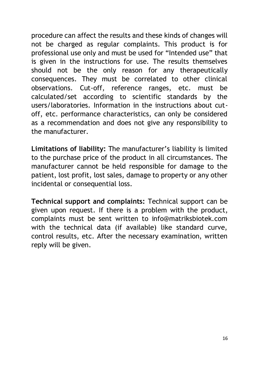procedure can affect the results and these kinds of changes will not be charged as regular complaints. This product is for professional use only and must be used for "Intended use" that is given in the instructions for use. The results themselves should not be the only reason for any therapeutically consequences. They must be correlated to other clinical observations. Cut-off, reference ranges, etc. must be calculated/set according to scientific standards by the users/laboratories. Information in the instructions about cutoff, etc. performance characteristics, can only be considered as a recommendation and does not give any responsibility to the manufacturer.

**Limitations of liability:** The manufacturer's liability is limited to the purchase price of the product in all circumstances. The manufacturer cannot be held responsible for damage to the patient, lost profit, lost sales, damage to property or any other incidental or consequential loss.

**Technical support and complaints:** Technical support can be given upon request. If there is a problem with the product, complaints must be sent written to info@matriksbiotek.com with the technical data (if available) like standard curve, control results, etc. After the necessary examination, written reply will be given.